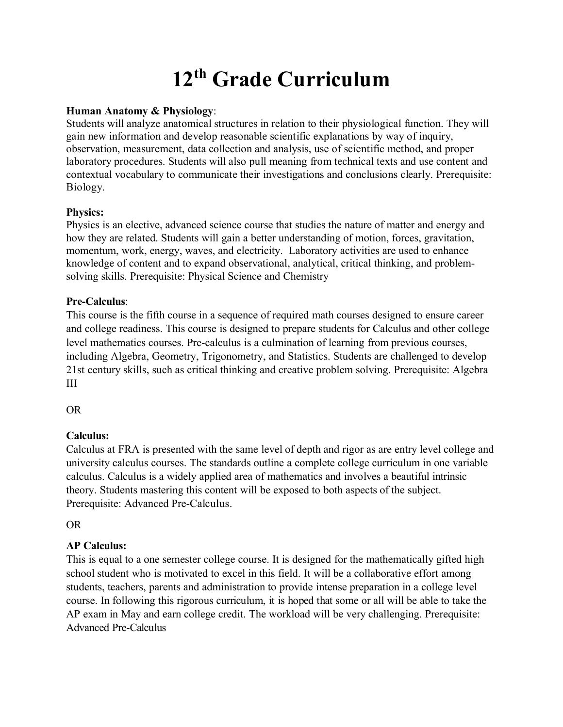# **12th Grade Curriculum**

## **Human Anatomy & Physiology**:

Students will analyze anatomical structures in relation to their physiological function. They will gain new information and develop reasonable scientific explanations by way of inquiry, observation, measurement, data collection and analysis, use of scientific method, and proper laboratory procedures. Students will also pull meaning from technical texts and use content and contextual vocabulary to communicate their investigations and conclusions clearly. Prerequisite: Biology.

# **Physics:**

Physics is an elective, advanced science course that studies the nature of matter and energy and how they are related. Students will gain a better understanding of motion, forces, gravitation, momentum, work, energy, waves, and electricity. Laboratory activities are used to enhance knowledge of content and to expand observational, analytical, critical thinking, and problemsolving skills. Prerequisite: Physical Science and Chemistry

# **Pre-Calculus**:

This course is the fifth course in a sequence of required math courses designed to ensure career and college readiness. This course is designed to prepare students for Calculus and other college level mathematics courses. Pre-calculus is a culmination of learning from previous courses, including Algebra, Geometry, Trigonometry, and Statistics. Students are challenged to develop 21st century skills, such as critical thinking and creative problem solving. Prerequisite: Algebra III

OR

# **Calculus:**

Calculus at FRA is presented with the same level of depth and rigor as are entry level college and university calculus courses. The standards outline a complete college curriculum in one variable calculus. Calculus is a widely applied area of mathematics and involves a beautiful intrinsic theory. Students mastering this content will be exposed to both aspects of the subject. Prerequisite: Advanced Pre-Calculus.

OR

# **AP Calculus:**

This is equal to a one semester college course. It is designed for the mathematically gifted high school student who is motivated to excel in this field. It will be a collaborative effort among students, teachers, parents and administration to provide intense preparation in a college level course. In following this rigorous curriculum, it is hoped that some or all will be able to take the AP exam in May and earn college credit. The workload will be very challenging. Prerequisite: Advanced Pre-Calculus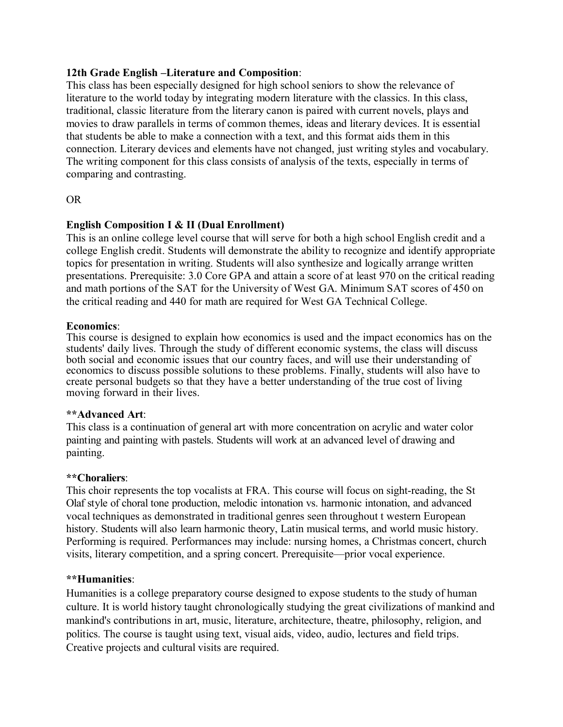#### **12th Grade English –Literature and Composition**:

This class has been especially designed for high school seniors to show the relevance of literature to the world today by integrating modern literature with the classics. In this class, traditional, classic literature from the literary canon is paired with current novels, plays and movies to draw parallels in terms of common themes, ideas and literary devices. It is essential that students be able to make a connection with a text, and this format aids them in this connection. Literary devices and elements have not changed, just writing styles and vocabulary. The writing component for this class consists of analysis of the texts, especially in terms of comparing and contrasting.

## OR

## **English Composition I & II (Dual Enrollment)**

This is an online college level course that will serve for both a high school English credit and a college English credit. Students will demonstrate the ability to recognize and identify appropriate topics for presentation in writing. Students will also synthesize and logically arrange written presentations. Prerequisite: 3.0 Core GPA and attain a score of at least 970 on the critical reading and math portions of the SAT for the University of West GA. Minimum SAT scores of 450 on the critical reading and 440 for math are required for West GA Technical College.

## **Economics**:

This course is designed to explain how economics is used and the impact economics has on the students' daily lives. Through the study of different economic systems, the class will discuss both social and economic issues that our country faces, and will use their understanding of economics to discuss possible solutions to these problems. Finally, students will also have to create personal budgets so that they have a better understanding of the true cost of living moving forward in their lives.

#### **\*\*Advanced Art**:

This class is a continuation of general art with more concentration on acrylic and water color painting and painting with pastels. Students will work at an advanced level of drawing and painting.

#### **\*\*Choraliers**:

This choir represents the top vocalists at FRA. This course will focus on sight-reading, the St Olaf style of choral tone production, melodic intonation vs. harmonic intonation, and advanced vocal techniques as demonstrated in traditional genres seen throughout t western European history. Students will also learn harmonic theory, Latin musical terms, and world music history. Performing is required. Performances may include: nursing homes, a Christmas concert, church visits, literary competition, and a spring concert. Prerequisite—prior vocal experience.

#### **\*\*Humanities**:

Humanities is a college preparatory course designed to expose students to the study of human culture. It is world history taught chronologically studying the great civilizations of mankind and mankind's contributions in art, music, literature, architecture, theatre, philosophy, religion, and politics. The course is taught using text, visual aids, video, audio, lectures and field trips. Creative projects and cultural visits are required.